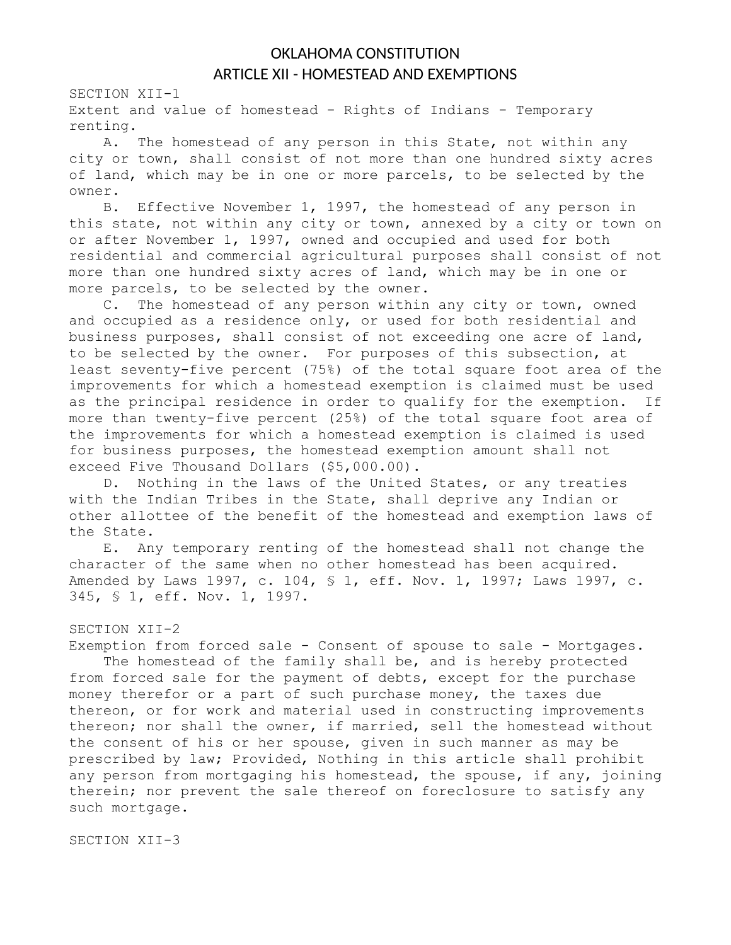## OKLAHOMA CONSTITUTION ARTICLE XII - HOMESTEAD AND EXEMPTIONS

SECTION XII-1

Extent and value of homestead - Rights of Indians - Temporary renting.

A. The homestead of any person in this State, not within any city or town, shall consist of not more than one hundred sixty acres of land, which may be in one or more parcels, to be selected by the owner.

B. Effective November 1, 1997, the homestead of any person in this state, not within any city or town, annexed by a city or town on or after November 1, 1997, owned and occupied and used for both residential and commercial agricultural purposes shall consist of not more than one hundred sixty acres of land, which may be in one or more parcels, to be selected by the owner.

C. The homestead of any person within any city or town, owned and occupied as a residence only, or used for both residential and business purposes, shall consist of not exceeding one acre of land, to be selected by the owner. For purposes of this subsection, at least seventy-five percent (75%) of the total square foot area of the improvements for which a homestead exemption is claimed must be used as the principal residence in order to qualify for the exemption. If more than twenty-five percent (25%) of the total square foot area of the improvements for which a homestead exemption is claimed is used for business purposes, the homestead exemption amount shall not exceed Five Thousand Dollars (\$5,000.00).

D. Nothing in the laws of the United States, or any treaties with the Indian Tribes in the State, shall deprive any Indian or other allottee of the benefit of the homestead and exemption laws of the State.

E. Any temporary renting of the homestead shall not change the character of the same when no other homestead has been acquired. Amended by Laws 1997, c. 104, § 1, eff. Nov. 1, 1997; Laws 1997, c. 345, § 1, eff. Nov. 1, 1997.

## SECTION XII-2

Exemption from forced sale - Consent of spouse to sale - Mortgages.

The homestead of the family shall be, and is hereby protected from forced sale for the payment of debts, except for the purchase money therefor or a part of such purchase money, the taxes due thereon, or for work and material used in constructing improvements thereon; nor shall the owner, if married, sell the homestead without the consent of his or her spouse, given in such manner as may be prescribed by law; Provided, Nothing in this article shall prohibit any person from mortgaging his homestead, the spouse, if any, joining therein; nor prevent the sale thereof on foreclosure to satisfy any such mortgage.

SECTION XII-3